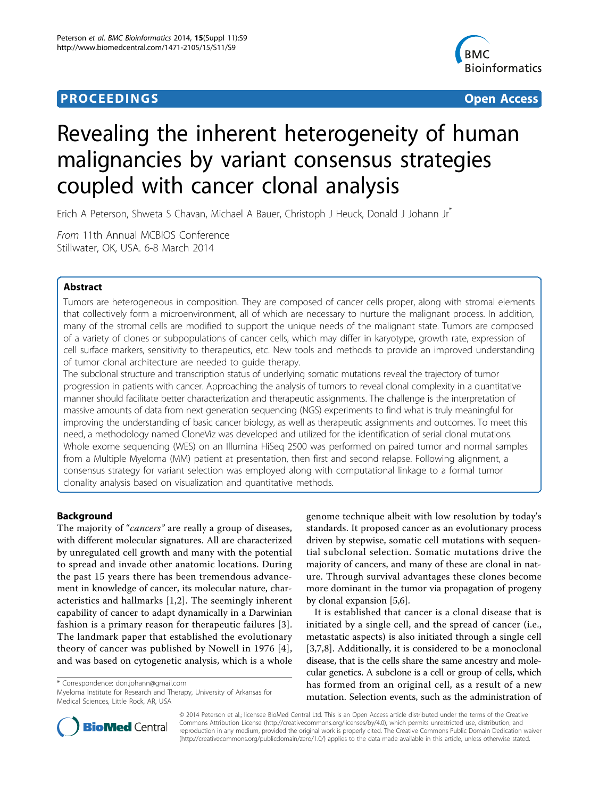## **PROCEEDINGS STATE ACCESS CONSUMING SECTION CONSUMING SECTION CONSUMING SECTION CONSUMING SECTION CONSUMING SECTION CONSUMING SECTION CONSUMING SECTION CONSUMING SECTION CONSUMING SECTION CONSUMING SECTION CONSUMING SE**



# Revealing the inherent heterogeneity of human malignancies by variant consensus strategies coupled with cancer clonal analysis

Erich A Peterson, Shweta S Chavan, Michael A Bauer, Christoph J Heuck, Donald J Johann Jr\*

From 11th Annual MCBIOS Conference Stillwater, OK, USA. 6-8 March 2014

## Abstract

Tumors are heterogeneous in composition. They are composed of cancer cells proper, along with stromal elements that collectively form a microenvironment, all of which are necessary to nurture the malignant process. In addition, many of the stromal cells are modified to support the unique needs of the malignant state. Tumors are composed of a variety of clones or subpopulations of cancer cells, which may differ in karyotype, growth rate, expression of cell surface markers, sensitivity to therapeutics, etc. New tools and methods to provide an improved understanding of tumor clonal architecture are needed to guide therapy.

The subclonal structure and transcription status of underlying somatic mutations reveal the trajectory of tumor progression in patients with cancer. Approaching the analysis of tumors to reveal clonal complexity in a quantitative manner should facilitate better characterization and therapeutic assignments. The challenge is the interpretation of massive amounts of data from next generation sequencing (NGS) experiments to find what is truly meaningful for improving the understanding of basic cancer biology, as well as therapeutic assignments and outcomes. To meet this need, a methodology named CloneViz was developed and utilized for the identification of serial clonal mutations. Whole exome sequencing (WES) on an Illumina HiSeq 2500 was performed on paired tumor and normal samples from a Multiple Myeloma (MM) patient at presentation, then first and second relapse. Following alignment, a consensus strategy for variant selection was employed along with computational linkage to a formal tumor clonality analysis based on visualization and quantitative methods.

## Background

The majority of "*cancers*" are really a group of diseases, with different molecular signatures. All are characterized by unregulated cell growth and many with the potential to spread and invade other anatomic locations. During the past 15 years there has been tremendous advancement in knowledge of cancer, its molecular nature, characteristics and hallmarks [[1,2](#page-7-0)]. The seemingly inherent capability of cancer to adapt dynamically in a Darwinian fashion is a primary reason for therapeutic failures [[3](#page-7-0)]. The landmark paper that established the evolutionary theory of cancer was published by Nowell in 1976 [[4\]](#page-7-0), and was based on cytogenetic analysis, which is a whole

\* Correspondence: [don.johann@gmail.com](mailto:don.johann@gmail.com)

Myeloma Institute for Research and Therapy, University of Arkansas for Medical Sciences, Little Rock, AR, USA

genome technique albeit with low resolution by today's standards. It proposed cancer as an evolutionary process driven by stepwise, somatic cell mutations with sequential subclonal selection. Somatic mutations drive the majority of cancers, and many of these are clonal in nature. Through survival advantages these clones become more dominant in the tumor via propagation of progeny by clonal expansion [[5,6\]](#page-7-0).

It is established that cancer is a clonal disease that is initiated by a single cell, and the spread of cancer (i.e., metastatic aspects) is also initiated through a single cell [[3,7,8](#page-7-0)]. Additionally, it is considered to be a monoclonal disease, that is the cells share the same ancestry and molecular genetics. A subclone is a cell or group of cells, which has formed from an original cell, as a result of a new mutation. Selection events, such as the administration of



© 2014 Peterson et al.; licensee BioMed Central Ltd. This is an Open Access article distributed under the terms of the Creative Commons Attribution License [\(http://creativecommons.org/licenses/by/4.0](http://creativecommons.org/licenses/by/4.0)), which permits unrestricted use, distribution, and reproduction in any medium, provided the original work is properly cited. The Creative Commons Public Domain Dedication waiver [\(http://creativecommons.org/publicdomain/zero/1.0/](http://creativecommons.org/publicdomain/zero/1.0/)) applies to the data made available in this article, unless otherwise stated.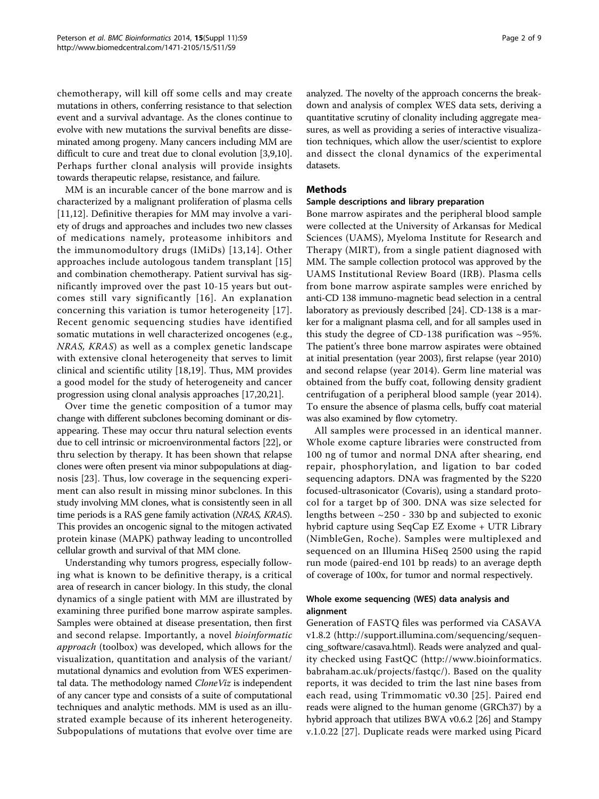chemotherapy, will kill off some cells and may create mutations in others, conferring resistance to that selection event and a survival advantage. As the clones continue to evolve with new mutations the survival benefits are disseminated among progeny. Many cancers including MM are difficult to cure and treat due to clonal evolution [\[3,9](#page-7-0),[10](#page-7-0)]. Perhaps further clonal analysis will provide insights towards therapeutic relapse, resistance, and failure.

MM is an incurable cancer of the bone marrow and is characterized by a malignant proliferation of plasma cells [[11,12](#page-7-0)]. Definitive therapies for MM may involve a variety of drugs and approaches and includes two new classes of medications namely, proteasome inhibitors and the immunomodultory drugs (IMiDs) [[13,14](#page-7-0)]. Other approaches include autologous tandem transplant [[15](#page-7-0)] and combination chemotherapy. Patient survival has significantly improved over the past 10-15 years but outcomes still vary significantly [[16](#page-7-0)]. An explanation concerning this variation is tumor heterogeneity [[17\]](#page-7-0). Recent genomic sequencing studies have identified somatic mutations in well characterized oncogenes (e.g., NRAS, KRAS) as well as a complex genetic landscape with extensive clonal heterogeneity that serves to limit clinical and scientific utility [\[18](#page-7-0),[19\]](#page-7-0). Thus, MM provides a good model for the study of heterogeneity and cancer progression using clonal analysis approaches [\[17,20,21](#page-7-0)].

Over time the genetic composition of a tumor may change with different subclones becoming dominant or disappearing. These may occur thru natural selection events due to cell intrinsic or microenvironmental factors [\[22](#page-7-0)], or thru selection by therapy. It has been shown that relapse clones were often present via minor subpopulations at diagnosis [[23\]](#page-7-0). Thus, low coverage in the sequencing experiment can also result in missing minor subclones. In this study involving MM clones, what is consistently seen in all time periods is a RAS gene family activation (NRAS, KRAS). This provides an oncogenic signal to the mitogen activated protein kinase (MAPK) pathway leading to uncontrolled cellular growth and survival of that MM clone.

Understanding why tumors progress, especially following what is known to be definitive therapy, is a critical area of research in cancer biology. In this study, the clonal dynamics of a single patient with MM are illustrated by examining three purified bone marrow aspirate samples. Samples were obtained at disease presentation, then first and second relapse. Importantly, a novel bioinformatic approach (toolbox) was developed, which allows for the visualization, quantitation and analysis of the variant/ mutational dynamics and evolution from WES experimental data. The methodology named CloneViz is independent of any cancer type and consists of a suite of computational techniques and analytic methods. MM is used as an illustrated example because of its inherent heterogeneity. Subpopulations of mutations that evolve over time are analyzed. The novelty of the approach concerns the breakdown and analysis of complex WES data sets, deriving a quantitative scrutiny of clonality including aggregate measures, as well as providing a series of interactive visualization techniques, which allow the user/scientist to explore and dissect the clonal dynamics of the experimental datasets.

#### Methods

#### Sample descriptions and library preparation

Bone marrow aspirates and the peripheral blood sample were collected at the University of Arkansas for Medical Sciences (UAMS), Myeloma Institute for Research and Therapy (MIRT), from a single patient diagnosed with MM. The sample collection protocol was approved by the UAMS Institutional Review Board (IRB). Plasma cells from bone marrow aspirate samples were enriched by anti-CD 138 immuno-magnetic bead selection in a central laboratory as previously described [\[24](#page-7-0)]. CD-138 is a marker for a malignant plasma cell, and for all samples used in this study the degree of CD-138 purification was  $\sim$ 95%. The patient's three bone marrow aspirates were obtained at initial presentation (year 2003), first relapse (year 2010) and second relapse (year 2014). Germ line material was obtained from the buffy coat, following density gradient centrifugation of a peripheral blood sample (year 2014). To ensure the absence of plasma cells, buffy coat material was also examined by flow cytometry.

All samples were processed in an identical manner. Whole exome capture libraries were constructed from 100 ng of tumor and normal DNA after shearing, end repair, phosphorylation, and ligation to bar coded sequencing adaptors. DNA was fragmented by the S220 focused-ultrasonicator (Covaris), using a standard protocol for a target bp of 300. DNA was size selected for lengths between ~250 - 330 bp and subjected to exonic hybrid capture using SeqCap EZ Exome + UTR Library (NimbleGen, Roche). Samples were multiplexed and sequenced on an Illumina HiSeq 2500 using the rapid run mode (paired-end 101 bp reads) to an average depth of coverage of 100x, for tumor and normal respectively.

## Whole exome sequencing (WES) data analysis and alignment

Generation of FASTQ files was performed via CASAVA v1.8.2 [\(http://support.illumina.com/sequencing/sequen](http://support.illumina.com/sequencing/sequencing_software/casava.html)[cing\\_software/casava.html\)](http://support.illumina.com/sequencing/sequencing_software/casava.html). Reads were analyzed and quality checked using FastQC ([http://www.bioinformatics.](http://www.bioinformatics.babraham.ac.uk/projects/fastqc/) [babraham.ac.uk/projects/fastqc/](http://www.bioinformatics.babraham.ac.uk/projects/fastqc/)). Based on the quality reports, it was decided to trim the last nine bases from each read, using Trimmomatic v0.30 [[25\]](#page-7-0). Paired end reads were aligned to the human genome (GRCh37) by a hybrid approach that utilizes BWA v0.6.2 [[26](#page-7-0)] and Stampy v.1.0.22 [[27\]](#page-7-0). Duplicate reads were marked using Picard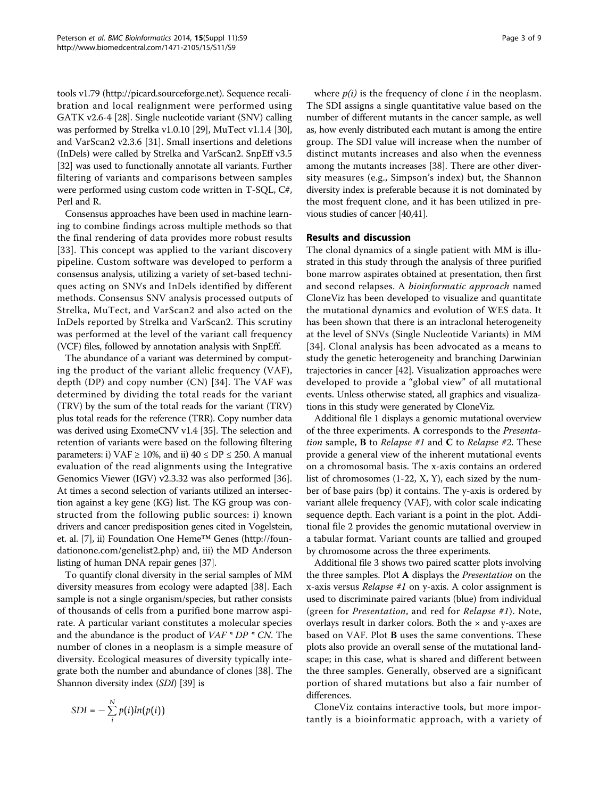tools v1.79 [\(http://picard.sourceforge.net\)](http://picard.sourceforge.net). Sequence recalibration and local realignment were performed using GATK v2.6-4 [[28](#page-7-0)]. Single nucleotide variant (SNV) calling was performed by Strelka v1.0.10 [\[29](#page-7-0)], MuTect v1.1.4 [[30](#page-7-0)], and VarScan2 v2.3.6 [\[31](#page-7-0)]. Small insertions and deletions (InDels) were called by Strelka and VarScan2. SnpEff v3.5 [[32](#page-7-0)] was used to functionally annotate all variants. Further filtering of variants and comparisons between samples were performed using custom code written in T-SQL, C#, Perl and R.

Consensus approaches have been used in machine learning to combine findings across multiple methods so that the final rendering of data provides more robust results [[33](#page-7-0)]. This concept was applied to the variant discovery pipeline. Custom software was developed to perform a consensus analysis, utilizing a variety of set-based techniques acting on SNVs and InDels identified by different methods. Consensus SNV analysis processed outputs of Strelka, MuTect, and VarScan2 and also acted on the InDels reported by Strelka and VarScan2. This scrutiny was performed at the level of the variant call frequency (VCF) files, followed by annotation analysis with SnpEff.

The abundance of a variant was determined by computing the product of the variant allelic frequency (VAF), depth (DP) and copy number (CN) [\[34\]](#page-7-0). The VAF was determined by dividing the total reads for the variant (TRV) by the sum of the total reads for the variant (TRV) plus total reads for the reference (TRR). Copy number data was derived using ExomeCNV v1.4 [\[35\]](#page-7-0). The selection and retention of variants were based on the following filtering parameters: i) VAF  $\geq$  10%, and ii) 40  $\leq$  DP  $\leq$  250. A manual evaluation of the read alignments using the Integrative Genomics Viewer (IGV) v2.3.32 was also performed [\[36](#page-7-0)]. At times a second selection of variants utilized an intersection against a key gene (KG) list. The KG group was constructed from the following public sources: i) known drivers and cancer predisposition genes cited in Vogelstein, et. al. [[7\]](#page-7-0), ii) Foundation One Heme™ Genes [\(http://foun](http://foundationone.com/genelist2.php)[dationone.com/genelist2.php](http://foundationone.com/genelist2.php)) and, iii) the MD Anderson listing of human DNA repair genes [[37](#page-7-0)].

To quantify clonal diversity in the serial samples of MM diversity measures from ecology were adapted [[38\]](#page-7-0). Each sample is not a single organism/species, but rather consists of thousands of cells from a purified bone marrow aspirate. A particular variant constitutes a molecular species and the abundance is the product of  $VAF * DP * CN$ . The number of clones in a neoplasm is a simple measure of diversity. Ecological measures of diversity typically integrate both the number and abundance of clones [[38](#page-7-0)]. The Shannon diversity index (SDI) [[39](#page-7-0)] is

$$
SDI = -\sum_{i}^{N} p(i)ln(p(i))
$$

Page 3 of 9

where  $p(i)$  is the frequency of clone *i* in the neoplasm. The SDI assigns a single quantitative value based on the number of different mutants in the cancer sample, as well as, how evenly distributed each mutant is among the entire group. The SDI value will increase when the number of distinct mutants increases and also when the evenness among the mutants increases [[38\]](#page-7-0). There are other diversity measures (e.g., Simpson's index) but, the Shannon diversity index is preferable because it is not dominated by the most frequent clone, and it has been utilized in previous studies of cancer [\[40,41](#page-7-0)].

#### Results and discussion

The clonal dynamics of a single patient with MM is illustrated in this study through the analysis of three purified bone marrow aspirates obtained at presentation, then first and second relapses. A bioinformatic approach named CloneViz has been developed to visualize and quantitate the mutational dynamics and evolution of WES data. It has been shown that there is an intraclonal heterogeneity at the level of SNVs (Single Nucleotide Variants) in MM [[34](#page-7-0)]. Clonal analysis has been advocated as a means to study the genetic heterogeneity and branching Darwinian trajectories in cancer [[42](#page-7-0)]. Visualization approaches were developed to provide a "global view" of all mutational events. Unless otherwise stated, all graphics and visualizations in this study were generated by CloneViz.

Additional file [1](#page-6-0) displays a genomic mutational overview of the three experiments. A corresponds to the Presentation sample, **B** to *Relapse* #1 and **C** to *Relapse* #2. These provide a general view of the inherent mutational events on a chromosomal basis. The x-axis contains an ordered list of chromosomes (1-22, X, Y), each sized by the number of base pairs (bp) it contains. The y-axis is ordered by variant allele frequency (VAF), with color scale indicating sequence depth. Each variant is a point in the plot. Additional file [2](#page-6-0) provides the genomic mutational overview in a tabular format. Variant counts are tallied and grouped by chromosome across the three experiments.

Additional file [3](#page-6-0) shows two paired scatter plots involving the three samples. Plot A displays the Presentation on the x-axis versus Relapse #1 on y-axis. A color assignment is used to discriminate paired variants (blue) from individual (green for Presentation, and red for Relapse #1). Note, overlays result in darker colors. Both the  $\times$  and y-axes are based on VAF. Plot B uses the same conventions. These plots also provide an overall sense of the mutational landscape; in this case, what is shared and different between the three samples. Generally, observed are a significant portion of shared mutations but also a fair number of differences.

CloneViz contains interactive tools, but more importantly is a bioinformatic approach, with a variety of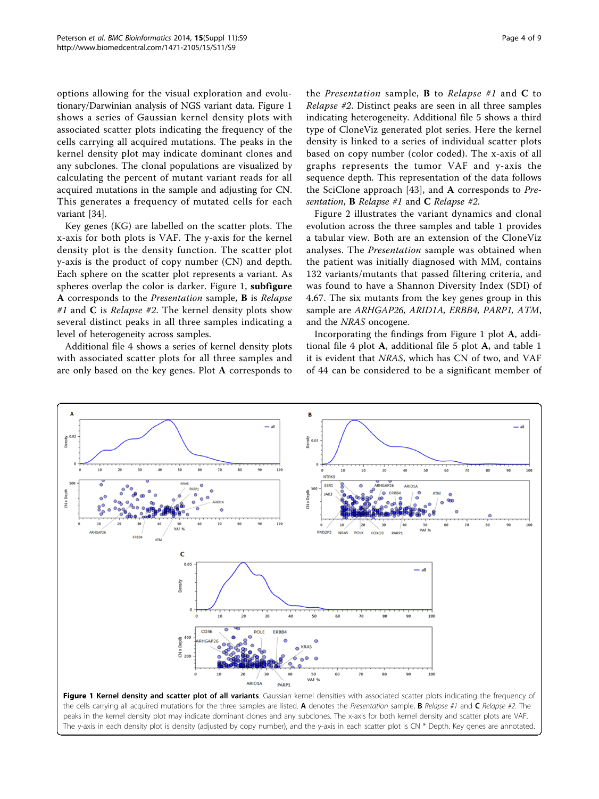<span id="page-3-0"></span>options allowing for the visual exploration and evolutionary/Darwinian analysis of NGS variant data. Figure 1 shows a series of Gaussian kernel density plots with associated scatter plots indicating the frequency of the cells carrying all acquired mutations. The peaks in the kernel density plot may indicate dominant clones and any subclones. The clonal populations are visualized by calculating the percent of mutant variant reads for all acquired mutations in the sample and adjusting for CN. This generates a frequency of mutated cells for each variant [\[34\]](#page-7-0).

Key genes (KG) are labelled on the scatter plots. The x-axis for both plots is VAF. The y-axis for the kernel density plot is the density function. The scatter plot y-axis is the product of copy number (CN) and depth. Each sphere on the scatter plot represents a variant. As spheres overlap the color is darker. Figure 1, subfigure A corresponds to the Presentation sample, B is Relapse #1 and C is Relapse #2. The kernel density plots show several distinct peaks in all three samples indicating a level of heterogeneity across samples.

Additional file [4](#page-6-0) shows a series of kernel density plots with associated scatter plots for all three samples and are only based on the key genes. Plot A corresponds to

the *Presentation* sample, **B** to *Relapse* #1 and **C** to Relapse #2. Distinct peaks are seen in all three samples indicating heterogeneity. Additional file [5](#page-6-0) shows a third type of CloneViz generated plot series. Here the kernel density is linked to a series of individual scatter plots based on copy number (color coded). The x-axis of all graphs represents the tumor VAF and y-axis the sequence depth. This representation of the data follows the SciClone approach [[43](#page-8-0)], and A corresponds to  $Pre$ sentation, **B** Relapse #1 and **C** Relapse #2.

Figure [2](#page-4-0) illustrates the variant dynamics and clonal evolution across the three samples and table [1](#page-4-0) provides a tabular view. Both are an extension of the CloneViz analyses. The Presentation sample was obtained when the patient was initially diagnosed with MM, contains 132 variants/mutants that passed filtering criteria, and was found to have a Shannon Diversity Index (SDI) of 4.67. The six mutants from the key genes group in this sample are ARHGAP26, ARID1A, ERBB4, PARP1, ATM, and the NRAS oncogene.

Incorporating the findings from Figure 1 plot A, additional file [4](#page-6-0) plot A, additional file [5](#page-6-0) plot A, and table [1](#page-4-0) it is evident that NRAS, which has CN of two, and VAF of 44 can be considered to be a significant member of



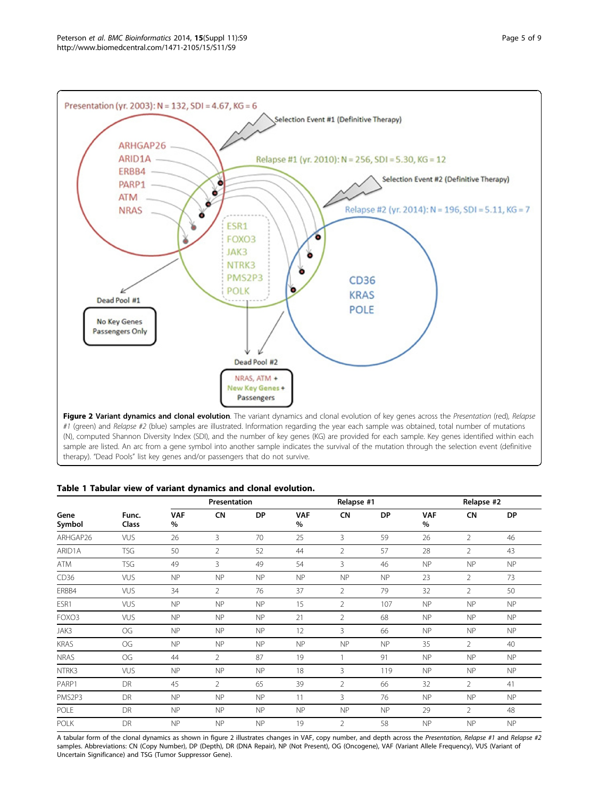<span id="page-4-0"></span>

Figure 2 Variant dynamics and clonal evolution. The variant dynamics and clonal evolution of key genes across the Presentation (red), Relapse #1 (green) and Relapse #2 (blue) samples are illustrated. Information regarding the year each sample was obtained, total number of mutations (N), computed Shannon Diversity Index (SDI), and the number of key genes (KG) are provided for each sample. Key genes identified within each sample are listed. An arc from a gene symbol into another sample indicates the survival of the mutation through the selection event (definitive therapy). "Dead Pools" list key genes and/or passengers that do not survive.

## Table 1 Tabular view of variant dynamics and clonal evolution.

| Gene<br>Symbol | Func.<br>Class | Presentation    |                |           | Relapse #1         |                |           | Relapse #2      |                |           |
|----------------|----------------|-----------------|----------------|-----------|--------------------|----------------|-----------|-----------------|----------------|-----------|
|                |                | <b>VAF</b><br>% | <b>CN</b>      | <b>DP</b> | <b>VAF</b><br>$\%$ | CN             | <b>DP</b> | <b>VAF</b><br>% | <b>CN</b>      | DP        |
| ARHGAP26       | <b>VUS</b>     | 26              | $\overline{3}$ | 70        | 25                 | 3              | 59        | 26              | $\overline{2}$ | 46        |
| ARID1A         | <b>TSG</b>     | 50              | 2              | 52        | 44                 | $\overline{2}$ | 57        | 28              | $\overline{2}$ | 43        |
| ATM            | <b>TSG</b>     | 49              | 3              | 49        | 54                 | 3              | 46        | NP              | NP             | NP        |
| CD36           | VUS            | NP              | NP             | <b>NP</b> | <b>NP</b>          | <b>NP</b>      | NP        | 23              | $\overline{2}$ | 73        |
| ERBB4          | VUS            | 34              | $\overline{2}$ | 76        | 37                 | $\overline{2}$ | 79        | 32              | $\overline{2}$ | 50        |
| ESR1           | VUS            | <b>NP</b>       | <b>NP</b>      | <b>NP</b> | 15                 | $\overline{2}$ | 107       | <b>NP</b>       | NP             | <b>NP</b> |
| FOXO3          | VUS            | NP              | <b>NP</b>      | NP        | 21                 | $\overline{2}$ | 68        | NP              | NP             | <b>NP</b> |
| JAK3           | OG             | <b>NP</b>       | <b>NP</b>      | <b>NP</b> | 12                 | 3              | 66        | <b>NP</b>       | <b>NP</b>      | <b>NP</b> |
| <b>KRAS</b>    | OG             | <b>NP</b>       | <b>NP</b>      | <b>NP</b> | NP                 | NP             | NP        | 35              | $\overline{2}$ | 40        |
| <b>NRAS</b>    | OG             | 44              | $\overline{2}$ | 87        | 19                 |                | 91        | NP              | <b>NP</b>      | <b>NP</b> |
| NTRK3          | VUS            | NP              | <b>NP</b>      | NP        | 18                 | 3              | 119       | NP              | NP             | NP        |
| PARP1          | DR             | 45              | 2              | 65        | 39                 | 2              | 66        | 32              | 2              | 41        |
| PMS2P3         | DR             | NP              | NP             | NP        | 11                 | 3              | 76        | NP              | NP             | <b>NP</b> |
| <b>POLE</b>    | DR             | NP              | NP             | NP        | <b>NP</b>          | <b>NP</b>      | NP        | 29              | $\overline{2}$ | 48        |
| <b>POLK</b>    | DR             | NP              | <b>NP</b>      | NP        | 19                 | $\overline{2}$ | 58        | NP              | NP             | <b>NP</b> |

A tabular form of the clonal dynamics as shown in figure 2 illustrates changes in VAF, copy number, and depth across the Presentation, Relapse #1 and Relapse #2 samples. Abbreviations: CN (Copy Number), DP (Depth), DR (DNA Repair), NP (Not Present), OG (Oncogene), VAF (Variant Allele Frequency), VUS (Variant of Uncertain Significance) and TSG (Tumor Suppressor Gene).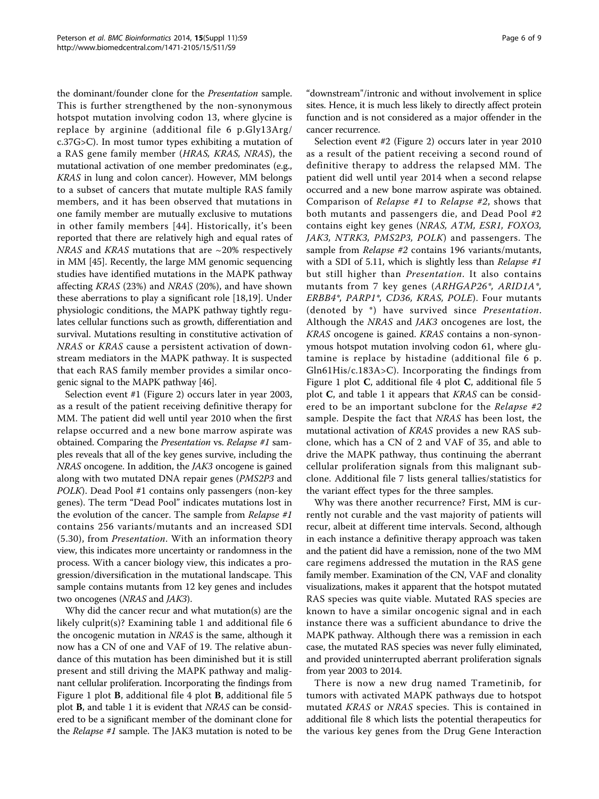the dominant/founder clone for the Presentation sample. This is further strengthened by the non-synonymous hotspot mutation involving codon 13, where glycine is replace by arginine (additional file [6](#page-6-0) p.Gly13Arg/ c.37G>C). In most tumor types exhibiting a mutation of a RAS gene family member (HRAS, KRAS, NRAS), the mutational activation of one member predominates (e.g., KRAS in lung and colon cancer). However, MM belongs to a subset of cancers that mutate multiple RAS family members, and it has been observed that mutations in one family member are mutually exclusive to mutations in other family members [[44\]](#page-8-0). Historically, it's been reported that there are relatively high and equal rates of NRAS and KRAS mutations that are  $\sim$ 20% respectively in MM [[45](#page-8-0)]. Recently, the large MM genomic sequencing studies have identified mutations in the MAPK pathway affecting KRAS (23%) and NRAS (20%), and have shown these aberrations to play a significant role [\[18](#page-7-0),[19](#page-7-0)]. Under physiologic conditions, the MAPK pathway tightly regulates cellular functions such as growth, differentiation and survival. Mutations resulting in constitutive activation of NRAS or KRAS cause a persistent activation of downstream mediators in the MAPK pathway. It is suspected that each RAS family member provides a similar oncogenic signal to the MAPK pathway [[46](#page-8-0)].

Selection event #1 (Figure [2](#page-4-0)) occurs later in year 2003, as a result of the patient receiving definitive therapy for MM. The patient did well until year 2010 when the first relapse occurred and a new bone marrow aspirate was obtained. Comparing the Presentation vs. Relapse #1 samples reveals that all of the key genes survive, including the NRAS oncogene. In addition, the JAK3 oncogene is gained along with two mutated DNA repair genes (PMS2P3 and POLK). Dead Pool #1 contains only passengers (non-key genes). The term "Dead Pool" indicates mutations lost in the evolution of the cancer. The sample from  $Relapse$ #1 contains 256 variants/mutants and an increased SDI (5.30), from Presentation. With an information theory view, this indicates more uncertainty or randomness in the process. With a cancer biology view, this indicates a progression/diversification in the mutational landscape. This sample contains mutants from 12 key genes and includes two oncogenes (NRAS and JAK3).

Why did the cancer recur and what mutation(s) are the likely culprit(s)? Examining table [1](#page-4-0) and additional file [6](#page-6-0) the oncogenic mutation in NRAS is the same, although it now has a CN of one and VAF of 19. The relative abundance of this mutation has been diminished but it is still present and still driving the MAPK pathway and malignant cellular proliferation. Incorporating the findings from Figure [1](#page-3-0) plot B, additional file [4](#page-6-0) plot B, additional file [5](#page-6-0) plot B, and table [1](#page-4-0) it is evident that NRAS can be considered to be a significant member of the dominant clone for the Relapse #1 sample. The JAK3 mutation is noted to be "downstream"/intronic and without involvement in splice sites. Hence, it is much less likely to directly affect protein function and is not considered as a major offender in the cancer recurrence.

Selection event #2 (Figure [2](#page-4-0)) occurs later in year 2010 as a result of the patient receiving a second round of definitive therapy to address the relapsed MM. The patient did well until year 2014 when a second relapse occurred and a new bone marrow aspirate was obtained. Comparison of Relapse #1 to Relapse #2, shows that both mutants and passengers die, and Dead Pool #2 contains eight key genes (NRAS, ATM, ESR1, FOXO3, JAK3, NTRK3, PMS2P3, POLK) and passengers. The sample from *Relapse* #2 contains 196 variants/mutants, with a SDI of 5.11, which is slightly less than Relapse  $#1$ but still higher than Presentation. It also contains mutants from 7 key genes (ARHGAP26\*, ARID1A\*, ERBB4\*, PARP1\*, CD36, KRAS, POLE). Four mutants (denoted by \*) have survived since Presentation. Although the NRAS and JAK3 oncogenes are lost, the KRAS oncogene is gained. KRAS contains a non-synonymous hotspot mutation involving codon 61, where glutamine is replace by histadine (additional file [6](#page-6-0) p. Gln61His/c.183A>C). Incorporating the findings from Figure [1](#page-3-0) plot  $C$ , additional file [4](#page-6-0) plot  $C$ , additional file [5](#page-6-0) plot C, and table [1](#page-4-0) it appears that KRAS can be considered to be an important subclone for the Relapse #2 sample. Despite the fact that NRAS has been lost, the mutational activation of KRAS provides a new RAS subclone, which has a CN of 2 and VAF of 35, and able to drive the MAPK pathway, thus continuing the aberrant cellular proliferation signals from this malignant subclone. Additional file [7](#page-6-0) lists general tallies/statistics for the variant effect types for the three samples.

Why was there another recurrence? First, MM is currently not curable and the vast majority of patients will recur, albeit at different time intervals. Second, although in each instance a definitive therapy approach was taken and the patient did have a remission, none of the two MM care regimens addressed the mutation in the RAS gene family member. Examination of the CN, VAF and clonality visualizations, makes it apparent that the hotspot mutated RAS species was quite viable. Mutated RAS species are known to have a similar oncogenic signal and in each instance there was a sufficient abundance to drive the MAPK pathway. Although there was a remission in each case, the mutated RAS species was never fully eliminated, and provided uninterrupted aberrant proliferation signals from year 2003 to 2014.

There is now a new drug named Trametinib, for tumors with activated MAPK pathways due to hotspot mutated KRAS or NRAS species. This is contained in additional file [8](#page-6-0) which lists the potential therapeutics for the various key genes from the Drug Gene Interaction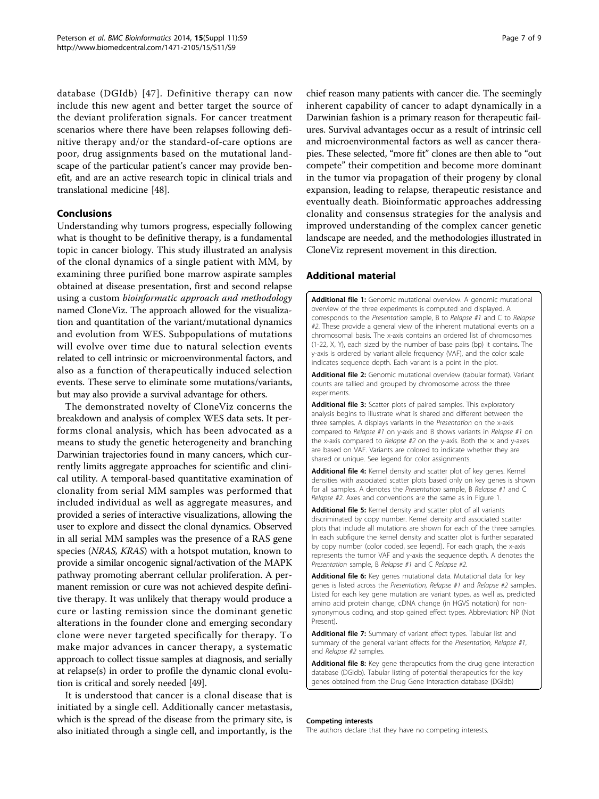<span id="page-6-0"></span>database (DGIdb) [[47\]](#page-8-0). Definitive therapy can now include this new agent and better target the source of the deviant proliferation signals. For cancer treatment scenarios where there have been relapses following definitive therapy and/or the standard-of-care options are poor, drug assignments based on the mutational landscape of the particular patient's cancer may provide benefit, and are an active research topic in clinical trials and translational medicine [[48](#page-8-0)].

## Conclusions

Understanding why tumors progress, especially following what is thought to be definitive therapy, is a fundamental topic in cancer biology. This study illustrated an analysis of the clonal dynamics of a single patient with MM, by examining three purified bone marrow aspirate samples obtained at disease presentation, first and second relapse using a custom bioinformatic approach and methodology named CloneViz. The approach allowed for the visualization and quantitation of the variant/mutational dynamics and evolution from WES. Subpopulations of mutations will evolve over time due to natural selection events related to cell intrinsic or microenvironmental factors, and also as a function of therapeutically induced selection events. These serve to eliminate some mutations/variants, but may also provide a survival advantage for others.

The demonstrated novelty of CloneViz concerns the breakdown and analysis of complex WES data sets. It performs clonal analysis, which has been advocated as a means to study the genetic heterogeneity and branching Darwinian trajectories found in many cancers, which currently limits aggregate approaches for scientific and clinical utility. A temporal-based quantitative examination of clonality from serial MM samples was performed that included individual as well as aggregate measures, and provided a series of interactive visualizations, allowing the user to explore and dissect the clonal dynamics. Observed in all serial MM samples was the presence of a RAS gene species (NRAS, KRAS) with a hotspot mutation, known to provide a similar oncogenic signal/activation of the MAPK pathway promoting aberrant cellular proliferation. A permanent remission or cure was not achieved despite definitive therapy. It was unlikely that therapy would produce a cure or lasting remission since the dominant genetic alterations in the founder clone and emerging secondary clone were never targeted specifically for therapy. To make major advances in cancer therapy, a systematic approach to collect tissue samples at diagnosis, and serially at relapse(s) in order to profile the dynamic clonal evolution is critical and sorely needed [\[49\]](#page-8-0).

It is understood that cancer is a clonal disease that is initiated by a single cell. Additionally cancer metastasis, which is the spread of the disease from the primary site, is also initiated through a single cell, and importantly, is the

chief reason many patients with cancer die. The seemingly inherent capability of cancer to adapt dynamically in a Darwinian fashion is a primary reason for therapeutic failures. Survival advantages occur as a result of intrinsic cell and microenvironmental factors as well as cancer therapies. These selected, "more fit" clones are then able to "out compete" their competition and become more dominant in the tumor via propagation of their progeny by clonal expansion, leading to relapse, therapeutic resistance and eventually death. Bioinformatic approaches addressing clonality and consensus strategies for the analysis and improved understanding of the complex cancer genetic landscape are needed, and the methodologies illustrated in CloneViz represent movement in this direction.

#### Additional material

[Additional file 1:](http://www.biomedcentral.com/content/supplementary/1471-2105-15-S11-S9-S1.jpg) Genomic mutational overview. A genomic mutational overview of the three experiments is computed and displayed. A corresponds to the Presentation sample, B to Relapse #1 and C to Relapse #2. These provide a general view of the inherent mutational events on a chromosomal basis. The x-axis contains an ordered list of chromosomes (1-22, X, Y), each sized by the number of base pairs (bp) it contains. The y-axis is ordered by variant allele frequency (VAF), and the color scale indicates sequence depth. Each variant is a point in the plot.

[Additional file 2:](http://www.biomedcentral.com/content/supplementary/1471-2105-15-S11-S9-S2.jpg) Genomic mutational overview (tabular format). Variant counts are tallied and grouped by chromosome across the three experiments.

[Additional file 3:](http://www.biomedcentral.com/content/supplementary/1471-2105-15-S11-S9-S3.jpg) Scatter plots of paired samples. This exploratory analysis begins to illustrate what is shared and different between the three samples. A displays variants in the Presentation on the x-axis compared to Relapse #1 on y-axis and B shows variants in Relapse #1 on the x-axis compared to Relapse #2 on the y-axis. Both the  $\times$  and y-axes are based on VAF. Variants are colored to indicate whether they are shared or unique. See legend for color assignments.

[Additional file 4:](http://www.biomedcentral.com/content/supplementary/1471-2105-15-S11-S9-S4.jpg) Kernel density and scatter plot of key genes. Kernel densities with associated scatter plots based only on key genes is shown for all samples. A denotes the Presentation sample, B Relapse #1 and C Relapse #2. Axes and conventions are the same as in Figure [1](#page-3-0).

[Additional file 5:](http://www.biomedcentral.com/content/supplementary/1471-2105-15-S11-S9-S5.jpg) Kernel density and scatter plot of all variants discriminated by copy number. Kernel density and associated scatter plots that include all mutations are shown for each of the three samples. In each subfigure the kernel density and scatter plot is further separated by copy number (color coded, see legend). For each graph, the x-axis represents the tumor VAF and y-axis the sequence depth. A denotes the Presentation sample, B Relapse #1 and C Relapse #2

[Additional file 6:](http://www.biomedcentral.com/content/supplementary/1471-2105-15-S11-S9-S6.jpg) Key genes mutational data. Mutational data for key genes is listed across the Presentation, Relapse #1 and Relapse #2 samples. Listed for each key gene mutation are variant types, as well as, predicted amino acid protein change, cDNA change (in HGVS notation) for nonsynonymous coding, and stop gained effect types. Abbreviation: NP (Not Present).

[Additional file 7:](http://www.biomedcentral.com/content/supplementary/1471-2105-15-S11-S9-S7.jpg) Summary of variant effect types. Tabular list and summary of the general variant effects for the Presentation, Relapse #1, and Relapse #2 samples.

[Additional file 8:](http://www.biomedcentral.com/content/supplementary/1471-2105-15-S11-S9-S8.jpg) Key gene therapeutics from the drug gene interaction database (DGIdb). Tabular listing of potential therapeutics for the key genes obtained from the Drug Gene Interaction database (DGIdb)

#### Competing interests

The authors declare that they have no competing interests.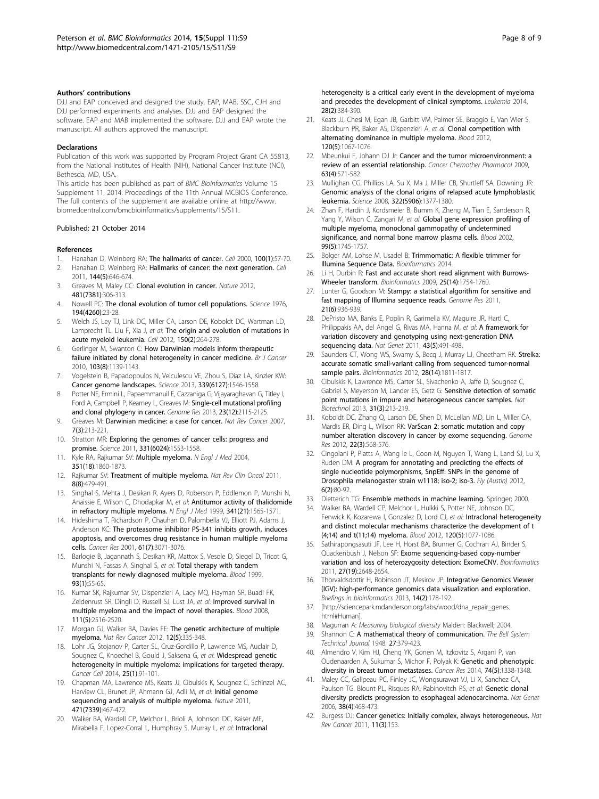#### <span id="page-7-0"></span>Authors' contributions

DJJ and EAP conceived and designed the study. EAP, MAB, SSC, CJH and DJJ performed experiments and analyses. DJJ and EAP designed the software. EAP and MAB implemented the software. DJJ and EAP wrote the manuscript. All authors approved the manuscript.

#### **Declarations**

Publication of this work was supported by Program Project Grant CA 55813, from the National Institutes of Health (NIH), National Cancer Institute (NCI), Bethesda, MD, USA.

This article has been published as part of BMC Bioinformatics Volume 15 Supplement 11, 2014: Proceedings of the 11th Annual MCBIOS Conference. The full contents of the supplement are available online at [http://www.](http://www.biomedcentral.com/bmcbioinformatics/supplements/15/S11) [biomedcentral.com/bmcbioinformatics/supplements/15/S11](http://www.biomedcentral.com/bmcbioinformatics/supplements/15/S11).

#### Published: 21 October 2014

#### References

- 1. Hanahan D, Weinberg RA: [The hallmarks of cancer.](http://www.ncbi.nlm.nih.gov/pubmed/10647931?dopt=Abstract) Cell 2000, 100(1):57-70.
- 2. Hanahan D, Weinberg RA: [Hallmarks of cancer: the next generation.](http://www.ncbi.nlm.nih.gov/pubmed/21376230?dopt=Abstract) Cell 2011, 144(5):646-674.
- 3. Greaves M, Maley CC: [Clonal evolution in cancer.](http://www.ncbi.nlm.nih.gov/pubmed/22258609?dopt=Abstract) Nature 2012, 481(7381):306-313.
- 4. Nowell PC: [The clonal evolution of tumor cell populations.](http://www.ncbi.nlm.nih.gov/pubmed/959840?dopt=Abstract) Science 1976, 194(4260):23-28.
- 5. Welch JS, Ley TJ, Link DC, Miller CA, Larson DE, Koboldt DC, Wartman LD, Lamprecht TL, Liu F, Xia J, et al: [The origin and evolution of mutations in](http://www.ncbi.nlm.nih.gov/pubmed/22817890?dopt=Abstract) [acute myeloid leukemia.](http://www.ncbi.nlm.nih.gov/pubmed/22817890?dopt=Abstract) Cell 2012, 150(2):264-278.
- 6. Gerlinger M, Swanton C: [How Darwinian models inform therapeutic](http://www.ncbi.nlm.nih.gov/pubmed/20877357?dopt=Abstract) [failure initiated by clonal heterogeneity in cancer medicine.](http://www.ncbi.nlm.nih.gov/pubmed/20877357?dopt=Abstract) Br J Cancer 2010, 103(8):1139-1143.
- 7. Vogelstein B, Papadopoulos N, Velculescu VE, Zhou S, Diaz LA, Kinzler KW: [Cancer genome landscapes.](http://www.ncbi.nlm.nih.gov/pubmed/23539594?dopt=Abstract) Science 2013, 339(6127):1546-1558.
- 8. Potter NE, Ermini L, Papaemmanuil E, Cazzaniga G, Vijayaraghavan G, Titley I, Ford A, Campbell P, Kearney L, Greaves M: [Single-cell mutational profiling](http://www.ncbi.nlm.nih.gov/pubmed/24056532?dopt=Abstract) [and clonal phylogeny in cancer.](http://www.ncbi.nlm.nih.gov/pubmed/24056532?dopt=Abstract) Genome Res 2013, 23(12):2115-2125.
- 9. Greaves M: [Darwinian medicine: a case for cancer.](http://www.ncbi.nlm.nih.gov/pubmed/17301845?dopt=Abstract) Nat Rev Cancer 2007, 7(3):213-221.
- 10. Stratton MR: [Exploring the genomes of cancer cells: progress and](http://www.ncbi.nlm.nih.gov/pubmed/21436442?dopt=Abstract) [promise.](http://www.ncbi.nlm.nih.gov/pubmed/21436442?dopt=Abstract) Science 2011, 331(6024):1553-1558.
- 11. Kyle RA, Rajkumar SV: [Multiple myeloma.](http://www.ncbi.nlm.nih.gov/pubmed/15509819?dopt=Abstract) N Engl J Med 2004, 351(18):1860-1873.
- 12. Rajkumar SV: [Treatment of multiple myeloma.](http://www.ncbi.nlm.nih.gov/pubmed/21522124?dopt=Abstract) Nat Rev Clin Oncol 2011, 8(8):479-491.
- 13. Singhal S, Mehta J, Desikan R, Ayers D, Roberson P, Eddlemon P, Munshi N, Anaissie E, Wilson C, Dhodapkar M, et al: [Antitumor activity of thalidomide](http://www.ncbi.nlm.nih.gov/pubmed/10564685?dopt=Abstract) [in refractory multiple myeloma.](http://www.ncbi.nlm.nih.gov/pubmed/10564685?dopt=Abstract) N Engl J Med 1999, 341(21):1565-1571.
- 14. Hideshima T, Richardson P, Chauhan D, Palombella VJ, Elliott PJ, Adams J, Anderson KC: [The proteasome inhibitor PS-341 inhibits growth, induces](http://www.ncbi.nlm.nih.gov/pubmed/11306489?dopt=Abstract) [apoptosis, and overcomes drug resistance in human multiple myeloma](http://www.ncbi.nlm.nih.gov/pubmed/11306489?dopt=Abstract) [cells.](http://www.ncbi.nlm.nih.gov/pubmed/11306489?dopt=Abstract) Cancer Res 2001, 61(7):3071-3076.
- 15. Barlogie B, Jagannath S, Desikan KR, Mattox S, Vesole D, Siegel D, Tricot G, Munshi N, Fassas A, Singhal S, et al: Total [therapy with tandem](http://www.ncbi.nlm.nih.gov/pubmed/9864146?dopt=Abstract) [transplants for newly diagnosed multiple myeloma.](http://www.ncbi.nlm.nih.gov/pubmed/9864146?dopt=Abstract) Blood 1999, 93(1):55-65.
- 16. Kumar SK, Rajkumar SV, Dispenzieri A, Lacy MQ, Hayman SR, Buadi FK, Zeldenrust SR, Dingli D, Russell SJ, Lust JA, et al: [Improved survival in](http://www.ncbi.nlm.nih.gov/pubmed/17975015?dopt=Abstract) [multiple myeloma and the impact of novel therapies.](http://www.ncbi.nlm.nih.gov/pubmed/17975015?dopt=Abstract) Blood 2008, 111(5):2516-2520.
- 17. Morgan GJ, Walker BA, Davies FE: [The genetic architecture of multiple](http://www.ncbi.nlm.nih.gov/pubmed/22495321?dopt=Abstract) [myeloma.](http://www.ncbi.nlm.nih.gov/pubmed/22495321?dopt=Abstract) Nat Rev Cancer 2012, 12(5):335-348.
- 18. Lohr JG, Stojanov P, Carter SL, Cruz-Gordillo P, Lawrence MS, Auclair D, Sougnez C, Knoechel B, Gould J, Saksena G, et al: [Widespread genetic](http://www.ncbi.nlm.nih.gov/pubmed/24434212?dopt=Abstract) [heterogeneity in multiple myeloma: implications for targeted therapy.](http://www.ncbi.nlm.nih.gov/pubmed/24434212?dopt=Abstract) Cancer Cell 2014, 25(1):91-101.
- 19. Chapman MA, Lawrence MS, Keats JJ, Cibulskis K, Sougnez C, Schinzel AC, Harview CL, Brunet JP, Ahmann GJ, Adli M, et al: [Initial genome](http://www.ncbi.nlm.nih.gov/pubmed/21430775?dopt=Abstract) [sequencing and analysis of multiple myeloma.](http://www.ncbi.nlm.nih.gov/pubmed/21430775?dopt=Abstract) Nature 2011, 471(7339):467-472.
- 20. Walker BA, Wardell CP, Melchor L, Brioli A, Johnson DC, Kaiser MF, Mirabella F, Lopez-Corral L, Humphray S, Murray L, et al: [Intraclonal](http://www.ncbi.nlm.nih.gov/pubmed/23817176?dopt=Abstract)

[heterogeneity is a critical early event in the development of myeloma](http://www.ncbi.nlm.nih.gov/pubmed/23817176?dopt=Abstract) [and precedes the development of clinical symptoms.](http://www.ncbi.nlm.nih.gov/pubmed/23817176?dopt=Abstract) Leukemia 2014, 28(2):384-390.

- 21. Keats JJ, Chesi M, Egan JB, Garbitt VM, Palmer SE, Braggio E, Van Wier S, Blackburn PR, Baker AS, Dispenzieri A, et al: [Clonal competition with](http://www.ncbi.nlm.nih.gov/pubmed/22498740?dopt=Abstract) [alternating dominance in multiple myeloma.](http://www.ncbi.nlm.nih.gov/pubmed/22498740?dopt=Abstract) Blood 2012, 120(5):1067-1076.
- 22. Mbeunkui F, Johann DJ Jr: [Cancer and the tumor microenvironment: a](http://www.ncbi.nlm.nih.gov/pubmed/19083000?dopt=Abstract) [review of an essential relationship.](http://www.ncbi.nlm.nih.gov/pubmed/19083000?dopt=Abstract) Cancer Chemother Pharmacol 2009, 63(4):571-582.
- 23. Mullighan CG, Phillips LA, Su X, Ma J, Miller CB, Shurtleff SA, Downing JR: [Genomic analysis of the clonal origins of relapsed acute lymphoblastic](http://www.ncbi.nlm.nih.gov/pubmed/19039135?dopt=Abstract) [leukemia.](http://www.ncbi.nlm.nih.gov/pubmed/19039135?dopt=Abstract) Science 2008, 322(5906):1377-1380.
- 24. Zhan F, Hardin J, Kordsmeier B, Bumm K, Zheng M, Tian E, Sanderson R, Yang Y, Wilson C, Zangari M, et al: [Global gene expression profiling of](http://www.ncbi.nlm.nih.gov/pubmed/11861292?dopt=Abstract) [multiple myeloma, monoclonal gammopathy of undetermined](http://www.ncbi.nlm.nih.gov/pubmed/11861292?dopt=Abstract) [significance, and normal bone marrow plasma cells.](http://www.ncbi.nlm.nih.gov/pubmed/11861292?dopt=Abstract) Blood 2002, 99(5):1745-1757.
- 25. Bolger AM, Lohse M, Usadel B: Trimmomatic: A flexible trimmer for Illumina Sequence Data. Bioinformatics 2014.
- 26. Li H, Durbin R: [Fast and accurate short read alignment with Burrows-](http://www.ncbi.nlm.nih.gov/pubmed/19451168?dopt=Abstract)[Wheeler transform.](http://www.ncbi.nlm.nih.gov/pubmed/19451168?dopt=Abstract) Bioinformatics 2009, 25(14):1754-1760.
- 27. Lunter G, Goodson M: [Stampy: a statistical algorithm for sensitive and](http://www.ncbi.nlm.nih.gov/pubmed/20980556?dopt=Abstract) fast [mapping of Illumina sequence reads.](http://www.ncbi.nlm.nih.gov/pubmed/20980556?dopt=Abstract) Genome Res 2011, 21(6):936-939.
- 28. DePristo MA, Banks E, Poplin R, Garimella KV, Maguire JR, Hartl C, Philippakis AA, del Angel G, Rivas MA, Hanna M, et al: [A framework for](http://www.ncbi.nlm.nih.gov/pubmed/21478889?dopt=Abstract) [variation discovery and genotyping using next-generation DNA](http://www.ncbi.nlm.nih.gov/pubmed/21478889?dopt=Abstract) [sequencing data.](http://www.ncbi.nlm.nih.gov/pubmed/21478889?dopt=Abstract) Nat Genet 2011, 43(5):491-498.
- 29. Saunders CT, Wong WS, Swamy S, Becg J, Murray LJ, Cheetham RK: [Strelka:](http://www.ncbi.nlm.nih.gov/pubmed/22581179?dopt=Abstract) [accurate somatic small-variant calling from sequenced tumor-normal](http://www.ncbi.nlm.nih.gov/pubmed/22581179?dopt=Abstract) [sample pairs.](http://www.ncbi.nlm.nih.gov/pubmed/22581179?dopt=Abstract) Bioinformatics 2012, 28(14):1811-1817.
- 30. Cibulskis K, Lawrence MS, Carter SL, Sivachenko A, Jaffe D, Sougnez C, Gabriel S, Meyerson M, Lander ES, Getz G: [Sensitive detection of somatic](http://www.ncbi.nlm.nih.gov/pubmed/23396013?dopt=Abstract) [point mutations in impure and heterogeneous cancer samples.](http://www.ncbi.nlm.nih.gov/pubmed/23396013?dopt=Abstract) Nat Biotechnol 2013, 31(3):213-219.
- 31. Koboldt DC, Zhang Q, Larson DE, Shen D, McLellan MD, Lin L, Miller CA, Mardis ER, Ding L, Wilson RK: [VarScan 2: somatic mutation and copy](http://www.ncbi.nlm.nih.gov/pubmed/22300766?dopt=Abstract) [number alteration discovery in cancer by exome sequencing.](http://www.ncbi.nlm.nih.gov/pubmed/22300766?dopt=Abstract) Genome Res 2012, 22(3):568-576.
- 32. Cingolani P, Platts A, Wang le L, Coon M, Nguyen T, Wang L, Land SJ, Lu X, Ruden DM: [A program for annotating and predicting the effects of](http://www.ncbi.nlm.nih.gov/pubmed/22728672?dopt=Abstract) [single nucleotide polymorphisms, SnpEff: SNPs in the genome of](http://www.ncbi.nlm.nih.gov/pubmed/22728672?dopt=Abstract) [Drosophila melanogaster strain w1118; iso-2; iso-3.](http://www.ncbi.nlm.nih.gov/pubmed/22728672?dopt=Abstract) Fly (Austin) 2012, 6(2):80-92.
- 33. Dietterich TG: Ensemble methods in machine learning. Springer; 2000.
- 34. Walker BA, Wardell CP, Melchor L, Hulkki S, Potter NE, Johnson DC, Fenwick K, Kozarewa I, Gonzalez D, Lord CJ, et al: [Intraclonal heterogeneity](http://www.ncbi.nlm.nih.gov/pubmed/22573403?dopt=Abstract) [and distinct molecular mechanisms characterize the development of t](http://www.ncbi.nlm.nih.gov/pubmed/22573403?dopt=Abstract) [\(4;14\) and t\(11;14\) myeloma.](http://www.ncbi.nlm.nih.gov/pubmed/22573403?dopt=Abstract) Blood 2012, 120(5):1077-1086.
- 35. Sathirapongsasuti JF, Lee H, Horst BA, Brunner G, Cochran AJ, Binder S, Quackenbush J, Nelson SF: [Exome sequencing-based copy-number](http://www.ncbi.nlm.nih.gov/pubmed/21828086?dopt=Abstract) [variation and loss of heterozygosity detection: ExomeCNV.](http://www.ncbi.nlm.nih.gov/pubmed/21828086?dopt=Abstract) Bioinformatics 2011, 27(19):2648-2654.
- 36. Thorvaldsdottir H, Robinson JT, Mesirov JP: [Integrative Genomics Viewer](http://www.ncbi.nlm.nih.gov/pubmed/22517427?dopt=Abstract) [\(IGV\): high-performance genomics data visualization and exploration.](http://www.ncbi.nlm.nih.gov/pubmed/22517427?dopt=Abstract) Briefings in bioinformatics 2013, 14(2):178-192.
- 37. [[http://sciencepark.mdanderson.org/labs/wood/dna\\_repair\\_genes.](http://sciencepark.mdanderson.org/labs/wood/dna_repair_genes.html#Human) [html#Human\]](http://sciencepark.mdanderson.org/labs/wood/dna_repair_genes.html#Human).
- 38. Magurran A: Measuring biological diversity Malden: Blackwell; 2004.
- 39. Shannon C: A mathematical theory of communication. The Bell System Technical Journal 1948, 27:379-423.
- 40. Almendro V, Kim HJ, Cheng YK, Gonen M, Itzkovitz S, Argani P, van Oudenaarden A, Sukumar S, Michor F, Polyak K: [Genetic and phenotypic](http://www.ncbi.nlm.nih.gov/pubmed/24448237?dopt=Abstract) [diversity in breast tumor metastases.](http://www.ncbi.nlm.nih.gov/pubmed/24448237?dopt=Abstract) Cancer Res 2014, 74(5):1338-1348.
- 41. Maley CC, Galipeau PC, Finley JC, Wongsurawat VJ, Li X, Sanchez CA, Paulson TG, Blount PL, Risques RA, Rabinovitch PS, et al: [Genetic](http://www.ncbi.nlm.nih.gov/pubmed/16565718?dopt=Abstract) clonal [diversity predicts progression to esophageal adenocarcinoma.](http://www.ncbi.nlm.nih.gov/pubmed/16565718?dopt=Abstract) Nat Genet 2006, 38(4):468-473.
- 42. Burgess DJ: [Cancer genetics: Initially complex, always heterogeneous.](http://www.ncbi.nlm.nih.gov/pubmed/21451547?dopt=Abstract) Nat Rev Cancer 2011, 11(3):153.